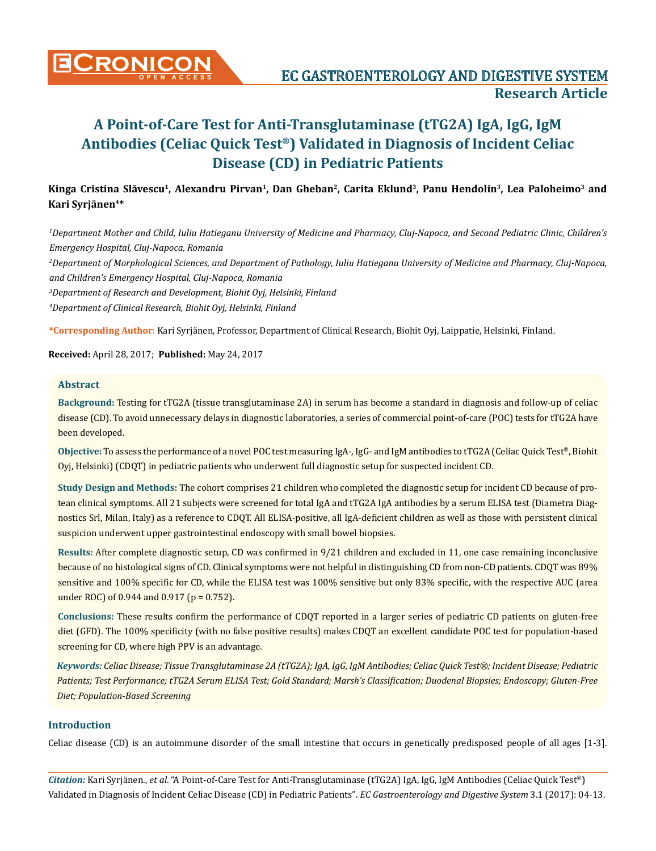

# **Kinga Cristina Slăvescu<sup>1</sup>, Alexandru Pirvan1, Dan Gheban2, Carita Eklund3, Panu Hendolin3, Lea Paloheimo3 and Kari Syrjänen4\***

*1 Department Mother and Child, Iuliu Hatieganu University of Medicine and Pharmacy, Cluj-Napoca, and Second Pediatric Clinic, Children's Emergency Hospital, Cluj-Napoca, Romania* 

*2 Department of Morphological Sciences, and Department of Pathology, Iuliu Hatieganu University of Medicine and Pharmacy, Cluj-Napoca, and Children's Emergency Hospital, Cluj-Napoca, Romania* 

*3 Department of Research and Development, Biohit Oyj, Helsinki, Finland*

*4 Department of Clinical Research, Biohit Oyj, Helsinki, Finland* 

**\*Corresponding Author**: Kari Syrjänen, Professor, Department of Clinical Research, Biohit Oyj, Laippatie, Helsinki, Finland.

**Received:** April 28, 2017; **Published:** May 24, 2017

## **Abstract**

**Background:** Testing for tTG2A (tissue transglutaminase 2A) in serum has become a standard in diagnosis and follow-up of celiac disease (CD). To avoid unnecessary delays in diagnostic laboratories, a series of commercial point-of-care (POC) tests for tTG2A have been developed.

**Objective:** To assess the performance of a novel POC test measuring IgA-, IgG- and IgM antibodies to tTG2A (Celiac Quick Test®, Biohit Oyj, Helsinki) (CDQT) in pediatric patients who underwent full diagnostic setup for suspected incident CD.

**Study Design and Methods:** The cohort comprises 21 children who completed the diagnostic setup for incident CD because of protean clinical symptoms. All 21 subjects were screened for total IgA and tTG2A IgA antibodies by a serum ELISA test (Diametra Diagnostics Srl, Milan, Italy) as a reference to CDQT. All ELISA-positive, all IgA-deficient children as well as those with persistent clinical suspicion underwent upper gastrointestinal endoscopy with small bowel biopsies.

**Results:** After complete diagnostic setup, CD was confirmed in 9/21 children and excluded in 11, one case remaining inconclusive because of no histological signs of CD. Clinical symptoms were not helpful in distinguishing CD from non-CD patients. CDQT was 89% sensitive and 100% specific for CD, while the ELISA test was 100% sensitive but only 83% specific, with the respective AUC (area under ROC) of 0.944 and 0.917 (p = 0.752).

**Conclusions:** These results confirm the performance of CDQT reported in a larger series of pediatric CD patients on gluten-free diet (GFD). The 100% specificity (with no false positive results) makes CDQT an excellent candidate POC test for population-based screening for CD, where high PPV is an advantage.

*Keywords: Celiac Disease; Tissue Transglutaminase 2A (tTG2A); IgA, IgG, IgM Antibodies; Celiac Quick Test®; Incident Disease; Pediatric Patients; Test Performance; tTG2A Serum ELISA Test; Gold Standard; Marsh's Classification; Duodenal Biopsies; Endoscopy; Gluten-Free Diet; Population-Based Screening*

# **Introduction**

Celiac disease (CD) is an autoimmune disorder of the small intestine that occurs in genetically predisposed people of all ages [1-3].

*Citation:* Kari Syrjänen., *et al*. "A Point-of-Care Test for Anti-Transglutaminase (tTG2A) IgA, IgG, IgM Antibodies (Celiac Quick Test®) Validated in Diagnosis of Incident Celiac Disease (CD) in Pediatric Patients". *EC Gastroenterology and Digestive System* 3.1 (2017): 04-13.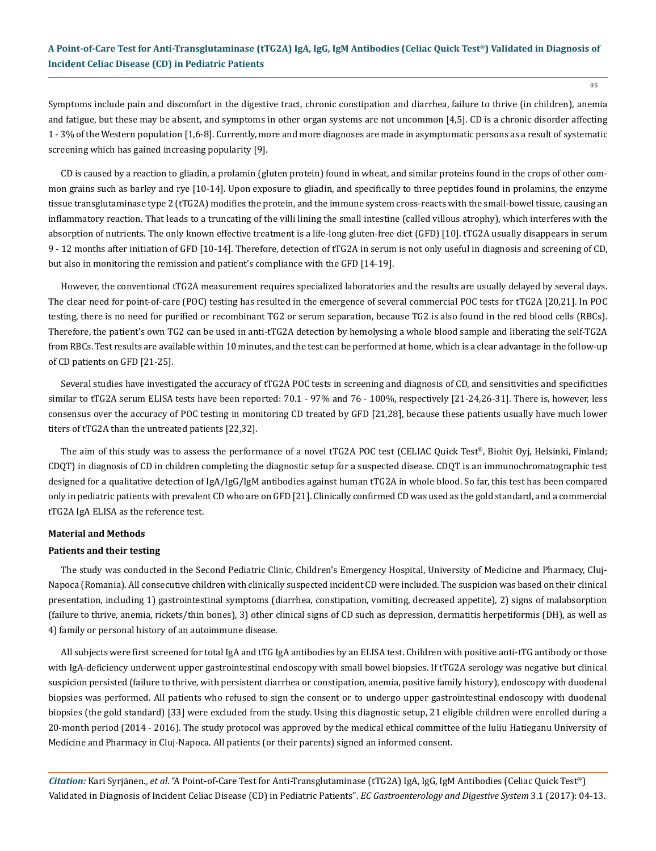Symptoms include pain and discomfort in the digestive tract, chronic constipation and diarrhea, failure to thrive (in children), anemia and fatigue, but these may be absent, and symptoms in other organ systems are not uncommon [4,5]. CD is a chronic disorder affecting 1 - 3% of the Western population [1,6-8]. Currently, more and more diagnoses are made in asymptomatic persons as a result of systematic screening which has gained increasing popularity [9].

CD is caused by a reaction to gliadin, a prolamin (gluten protein) found in wheat, and similar proteins found in the crops of other common grains such as barley and rye [10-14]. Upon exposure to gliadin, and specifically to three peptides found in prolamins, the enzyme tissue transglutaminase type 2 (tTG2A) modifies the protein, and the immune system cross-reacts with the small-bowel tissue, causing an inflammatory reaction. That leads to a truncating of the villi lining the small intestine (called villous atrophy), which interferes with the absorption of nutrients. The only known effective treatment is a life-long gluten-free diet (GFD) [10]. tTG2A usually disappears in serum 9 - 12 months after initiation of GFD [10-14]. Therefore, detection of tTG2A in serum is not only useful in diagnosis and screening of CD, but also in monitoring the remission and patient's compliance with the GFD [14-19].

However, the conventional tTG2A measurement requires specialized laboratories and the results are usually delayed by several days. The clear need for point-of-care (POC) testing has resulted in the emergence of several commercial POC tests for tTG2A [20,21]. In POC testing, there is no need for purified or recombinant TG2 or serum separation, because TG2 is also found in the red blood cells (RBCs). Therefore, the patient's own TG2 can be used in anti-tTG2A detection by hemolysing a whole blood sample and liberating the self-TG2A from RBCs. Test results are available within 10 minutes, and the test can be performed at home, which is a clear advantage in the follow-up of CD patients on GFD [21-25].

Several studies have investigated the accuracy of tTG2A POC tests in screening and diagnosis of CD, and sensitivities and specificities similar to tTG2A serum ELISA tests have been reported: 70.1 - 97% and 76 - 100%, respectively [21-24,26-31]. There is, however, less consensus over the accuracy of POC testing in monitoring CD treated by GFD [21,28], because these patients usually have much lower titers of tTG2A than the untreated patients [22,32].

The aim of this study was to assess the performance of a novel tTG2A POC test (CELIAC Quick Test®, Biohit Oyj, Helsinki, Finland; CDQT) in diagnosis of CD in children completing the diagnostic setup for a suspected disease. CDQT is an immunochromatographic test designed for a qualitative detection of IgA/IgG/IgM antibodies against human tTG2A in whole blood. So far, this test has been compared only in pediatric patients with prevalent CD who are on GFD [21]. Clinically confirmed CD was used as the gold standard, and a commercial tTG2A IgA ELISA as the reference test.

#### **Material and Methods**

#### **Patients and their testing**

The study was conducted in the Second Pediatric Clinic, Children's Emergency Hospital, University of Medicine and Pharmacy, Cluj-Napoca (Romania). All consecutive children with clinically suspected incident CD were included. The suspicion was based on their clinical presentation, including 1) gastrointestinal symptoms (diarrhea, constipation, vomiting, decreased appetite), 2) signs of malabsorption (failure to thrive, anemia, rickets/thin bones), 3) other clinical signs of CD such as depression, dermatitis herpetiformis (DH), as well as 4) family or personal history of an autoimmune disease.

All subjects were first screened for total IgA and tTG IgA antibodies by an ELISA test. Children with positive anti-tTG antibody or those with IgA-deficiency underwent upper gastrointestinal endoscopy with small bowel biopsies. If tTG2A serology was negative but clinical suspicion persisted (failure to thrive, with persistent diarrhea or constipation, anemia, positive family history), endoscopy with duodenal biopsies was performed. All patients who refused to sign the consent or to undergo upper gastrointestinal endoscopy with duodenal biopsies (the gold standard) [33] were excluded from the study. Using this diagnostic setup, 21 eligible children were enrolled during a 20-month period (2014 - 2016). The study protocol was approved by the medical ethical committee of the Iuliu Hatieganu University of Medicine and Pharmacy in Cluj-Napoca. All patients (or their parents) signed an informed consent.

*Citation:* Kari Syrjänen., *et al*. "A Point-of-Care Test for Anti-Transglutaminase (tTG2A) IgA, IgG, IgM Antibodies (Celiac Quick Test®) Validated in Diagnosis of Incident Celiac Disease (CD) in Pediatric Patients". *EC Gastroenterology and Digestive System* 3.1 (2017): 04-13.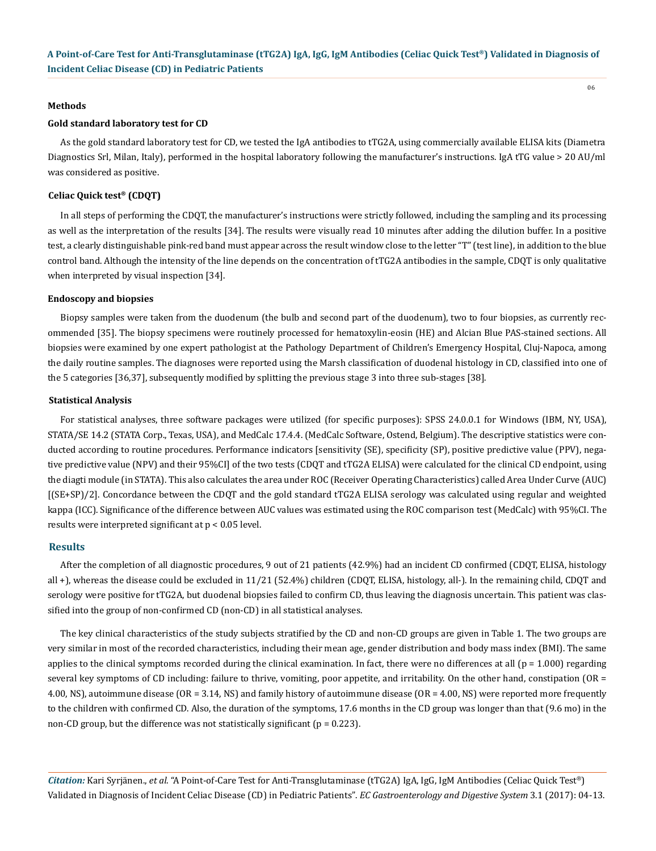#### **Methods**

#### **Gold standard laboratory test for CD**

As the gold standard laboratory test for CD, we tested the IgA antibodies to tTG2A, using commercially available ELISA kits (Diametra Diagnostics Srl, Milan, Italy), performed in the hospital laboratory following the manufacturer's instructions. IgA tTG value > 20 AU/ml was considered as positive.

#### **Celiac Quick test® (CDQT)**

In all steps of performing the CDQT, the manufacturer's instructions were strictly followed, including the sampling and its processing as well as the interpretation of the results [34]. The results were visually read 10 minutes after adding the dilution buffer. In a positive test, a clearly distinguishable pink-red band must appear across the result window close to the letter "T" (test line), in addition to the blue control band. Although the intensity of the line depends on the concentration of tTG2A antibodies in the sample, CDQT is only qualitative when interpreted by visual inspection [34].

#### **Endoscopy and biopsies**

Biopsy samples were taken from the duodenum (the bulb and second part of the duodenum), two to four biopsies, as currently recommended [35]. The biopsy specimens were routinely processed for hematoxylin-eosin (HE) and Alcian Blue PAS-stained sections. All biopsies were examined by one expert pathologist at the Pathology Department of Children's Emergency Hospital, Cluj-Napoca, among the daily routine samples. The diagnoses were reported using the Marsh classification of duodenal histology in CD, classified into one of the 5 categories [36,37], subsequently modified by splitting the previous stage 3 into three sub-stages [38].

#### **Statistical Analysis**

For statistical analyses, three software packages were utilized (for specific purposes): SPSS 24.0.0.1 for Windows (IBM, NY, USA), STATA/SE 14.2 (STATA Corp., Texas, USA), and MedCalc 17.4.4. (MedCalc Software, Ostend, Belgium). The descriptive statistics were conducted according to routine procedures. Performance indicators [sensitivity (SE), specificity (SP), positive predictive value (PPV), negative predictive value (NPV) and their 95%CI] of the two tests (CDQT and tTG2A ELISA) were calculated for the clinical CD endpoint, using the diagti module (in STATA). This also calculates the area under ROC (Receiver Operating Characteristics) called Area Under Curve (AUC) [(SE+SP)/2]. Concordance between the CDQT and the gold standard tTG2A ELISA serology was calculated using regular and weighted kappa (ICC). Significance of the difference between AUC values was estimated using the ROC comparison test (MedCalc) with 95%CI. The results were interpreted significant at p < 0.05 level.

#### **Results**

After the completion of all diagnostic procedures, 9 out of 21 patients (42.9%) had an incident CD confirmed (CDQT, ELISA, histology all +), whereas the disease could be excluded in 11/21 (52.4%) children (CDQT, ELISA, histology, all-). In the remaining child, CDQT and serology were positive for tTG2A, but duodenal biopsies failed to confirm CD, thus leaving the diagnosis uncertain. This patient was classified into the group of non-confirmed CD (non-CD) in all statistical analyses.

The key clinical characteristics of the study subjects stratified by the CD and non-CD groups are given in Table 1. The two groups are very similar in most of the recorded characteristics, including their mean age, gender distribution and body mass index (BMI). The same applies to the clinical symptoms recorded during the clinical examination. In fact, there were no differences at all  $(p = 1.000)$  regarding several key symptoms of CD including: failure to thrive, vomiting, poor appetite, and irritability. On the other hand, constipation (OR = 4.00, NS), autoimmune disease (OR = 3.14, NS) and family history of autoimmune disease (OR = 4.00, NS) were reported more frequently to the children with confirmed CD. Also, the duration of the symptoms, 17.6 months in the CD group was longer than that (9.6 mo) in the non-CD group, but the difference was not statistically significant ( $p = 0.223$ ).

*Citation:* Kari Syrjänen., *et al*. "A Point-of-Care Test for Anti-Transglutaminase (tTG2A) IgA, IgG, IgM Antibodies (Celiac Quick Test®) Validated in Diagnosis of Incident Celiac Disease (CD) in Pediatric Patients". *EC Gastroenterology and Digestive System* 3.1 (2017): 04-13.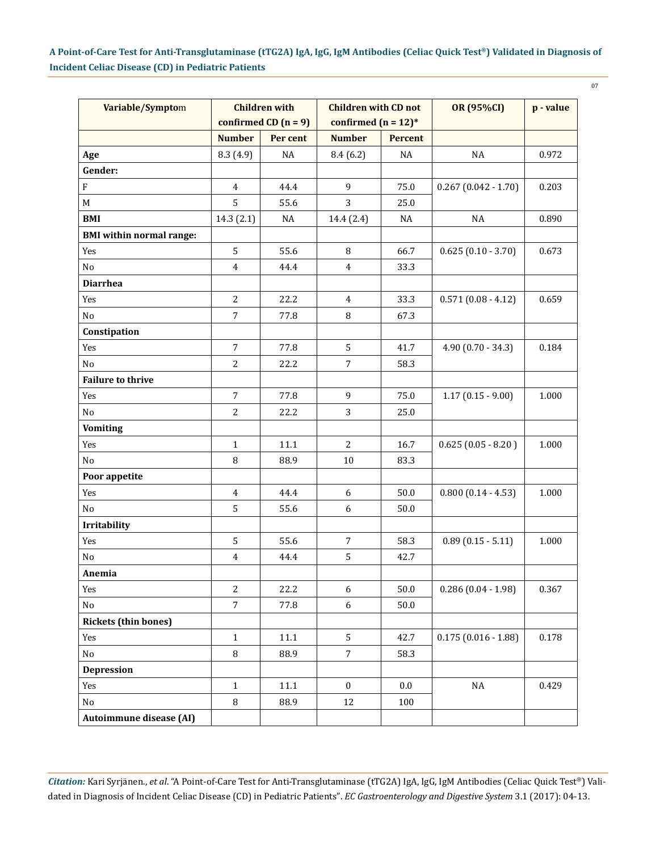07

| Variable/Symptom                |                | <b>Children with</b><br><b>Children with CD not</b> |                        |                | <b>OR (95%CI)</b>     | p - value |
|---------------------------------|----------------|-----------------------------------------------------|------------------------|----------------|-----------------------|-----------|
|                                 |                | confirmed $CD (n = 9)$                              | confirmed $(n = 12)^*$ |                |                       |           |
|                                 | <b>Number</b>  | Per cent                                            | <b>Number</b>          | <b>Percent</b> |                       |           |
| Age                             | 8.3(4.9)       | $\rm NA$                                            | 8.4(6.2)               | NA             | $\rm NA$              | 0.972     |
| Gender:                         |                |                                                     |                        |                |                       |           |
| $\mathbf F$                     | $\overline{4}$ | 44.4                                                | 9                      | 75.0           | $0.267(0.042 - 1.70)$ | 0.203     |
| M                               | 5              | 55.6                                                | 3                      | 25.0           |                       |           |
| <b>BMI</b>                      | 14.3 (2.1)     | $\rm NA$                                            | 14.4 (2.4)             | $\rm NA$       | $\rm NA$              | 0.890     |
| <b>BMI</b> within normal range: |                |                                                     |                        |                |                       |           |
| Yes                             | 5              | 55.6                                                | 8                      | 66.7           | $0.625(0.10 - 3.70)$  | 0.673     |
| No                              | $\overline{4}$ | 44.4                                                | $\overline{4}$         | 33.3           |                       |           |
| <b>Diarrhea</b>                 |                |                                                     |                        |                |                       |           |
| Yes                             | $\overline{2}$ | 22.2                                                | $\overline{4}$         | 33.3           | $0.571(0.08 - 4.12)$  | 0.659     |
| No                              | $\overline{7}$ | 77.8                                                | 8                      | 67.3           |                       |           |
| Constipation                    |                |                                                     |                        |                |                       |           |
| Yes                             | $\overline{7}$ | 77.8                                                | 5                      | 41.7           | $4.90(0.70 - 34.3)$   | 0.184     |
| No                              | $\overline{2}$ | 22.2                                                | $\overline{7}$         | 58.3           |                       |           |
| <b>Failure to thrive</b>        |                |                                                     |                        |                |                       |           |
| Yes                             | $\overline{7}$ | 77.8                                                | 9                      | 75.0           | $1.17(0.15 - 9.00)$   | 1.000     |
| No                              | $\overline{2}$ | 22.2                                                | 3                      | 25.0           |                       |           |
| <b>Vomiting</b>                 |                |                                                     |                        |                |                       |           |
| Yes                             | $\mathbf{1}$   | 11.1                                                | $\overline{c}$         | 16.7           | $0.625(0.05 - 8.20)$  | 1.000     |
| No                              | 8              | 88.9                                                | 10                     | 83.3           |                       |           |
| Poor appetite                   |                |                                                     |                        |                |                       |           |
| Yes                             | $\overline{4}$ | 44.4                                                | 6                      | 50.0           | $0.800(0.14 - 4.53)$  | 1.000     |
| No                              | 5              | 55.6                                                | 6                      | $50.0$         |                       |           |
| Irritability                    |                |                                                     |                        |                |                       |           |
| Yes                             | 5              | 55.6                                                | $\overline{7}$         | 58.3           | $0.89(0.15 - 5.11)$   | 1.000     |
| No                              | 4              | 44.4                                                | 5                      | 42.7           |                       |           |
| Anemia                          |                |                                                     |                        |                |                       |           |
| Yes                             | $\overline{2}$ | 22.2                                                | 6                      | 50.0           | $0.286(0.04 - 1.98)$  | 0.367     |
| No                              | $\overline{7}$ | 77.8                                                | 6                      | 50.0           |                       |           |
| <b>Rickets (thin bones)</b>     |                |                                                     |                        |                |                       |           |
| Yes                             | $\mathbf{1}$   | $11.1\,$                                            | 5                      | 42.7           | $0.175(0.016 - 1.88)$ | 0.178     |
| No                              | 8              | 88.9                                                | $\overline{7}$         | 58.3           |                       |           |
| <b>Depression</b>               |                |                                                     |                        |                |                       |           |
| Yes                             | $\mathbf{1}$   | $11.1\,$                                            | $\boldsymbol{0}$       | $0.0\,$        | $\rm NA$              | 0.429     |
| No                              | $\, 8$         | 88.9                                                | 12                     | 100            |                       |           |
| Autoimmune disease (AI)         |                |                                                     |                        |                |                       |           |

*Citation:* Kari Syrjänen., *et al*. "A Point-of-Care Test for Anti-Transglutaminase (tTG2A) IgA, IgG, IgM Antibodies (Celiac Quick Test®) Validated in Diagnosis of Incident Celiac Disease (CD) in Pediatric Patients". *EC Gastroenterology and Digestive System* 3.1 (2017): 04-13.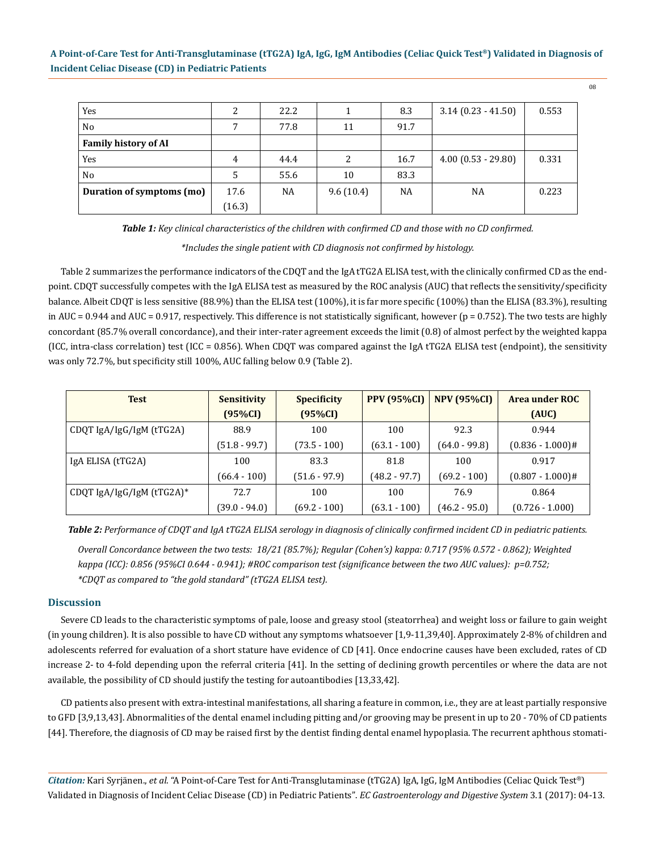| Yes                         | 2      | 22.2 |           | 8.3       | $3.14(0.23 - 41.50)$ | 0.553 |
|-----------------------------|--------|------|-----------|-----------|----------------------|-------|
| N <sub>0</sub>              |        | 77.8 | 11        | 91.7      |                      |       |
| <b>Family history of AI</b> |        |      |           |           |                      |       |
| Yes                         | 4      | 44.4 | 2         | 16.7      | $4.00(0.53 - 29.80)$ | 0.331 |
| N <sub>0</sub>              | 5      | 55.6 | 10        | 83.3      |                      |       |
| Duration of symptoms (mo)   | 17.6   | NA   | 9.6(10.4) | <b>NA</b> | <b>NA</b>            | 0.223 |
|                             | (16.3) |      |           |           |                      |       |

*Table 1: Key clinical characteristics of the children with confirmed CD and those with no CD confirmed.*

*\*Includes the single patient with CD diagnosis not confirmed by histology.*

Table 2 summarizes the performance indicators of the CDQT and the IgA tTG2A ELISA test, with the clinically confirmed CD as the endpoint. CDQT successfully competes with the IgA ELISA test as measured by the ROC analysis (AUC) that reflects the sensitivity/specificity balance. Albeit CDQT is less sensitive (88.9%) than the ELISA test (100%), it is far more specific (100%) than the ELISA (83.3%), resulting in AUC = 0.944 and AUC = 0.917, respectively. This difference is not statistically significant, however ( $p = 0.752$ ). The two tests are highly concordant (85.7% overall concordance), and their inter-rater agreement exceeds the limit (0.8) of almost perfect by the weighted kappa (ICC, intra-class correlation) test (ICC = 0.856). When CDQT was compared against the IgA tTG2A ELISA test (endpoint), the sensitivity was only 72.7%, but specificity still 100%, AUC falling below 0.9 (Table 2).

| <b>Test</b>               | <b>Sensitivity</b> | <b>Specificity</b> | <b>PPV (95%CI)</b> | <b>NPV (95%CI)</b> | Area under ROC      |
|---------------------------|--------------------|--------------------|--------------------|--------------------|---------------------|
|                           | $(95\%CI)$         | (95%CI)            |                    |                    | (AUC)               |
| CDQT IgA/IgG/IgM (tTG2A)  | 88.9               | 100                | 100                | 92.3               | 0.944               |
|                           | $(51.8 - 99.7)$    | $(73.5 - 100)$     | $(63.1 - 100)$     | $(64.0 - 99.8)$    | $(0.836 - 1.000)$ # |
| IgA ELISA (tTG2A)         | 100                | 83.3               | 81.8               | 100                | 0.917               |
|                           | $(66.4 - 100)$     | $(51.6 - 97.9)$    | $(48.2 - 97.7)$    | $(69.2 - 100)$     | $(0.807 - 1.000)$ # |
| CDQT IgA/IgG/IgM (tTG2A)* | 72.7               | 100                | 100                | 76.9               | 0.864               |
|                           | (39.0 - 94.0)      | $(69.2 - 100)$     | $(63.1 - 100)$     | $(46.2 - 95.0)$    | $(0.726 - 1.000)$   |

*Overall Concordance between the two tests: 18/21 (85.7%); Regular (Cohen's) kappa: 0.717 (95% 0.572 - 0.862); Weighted kappa (ICC): 0.856 (95%CI 0.644 - 0.941); #ROC comparison test (significance between the two AUC values): p=0.752; \*CDQT as compared to "the gold standard" (tTG2A ELISA test). Table 2: Performance of CDQT and IgA tTG2A ELISA serology in diagnosis of clinically confirmed incident CD in pediatric patients.*

### **Discussion**

Severe CD leads to the characteristic symptoms of pale, loose and greasy stool (steatorrhea) and weight loss or failure to gain weight (in young children). It is also possible to have CD without any symptoms whatsoever [1,9-11,39,40]. Approximately 2-8% of children and adolescents referred for evaluation of a short stature have evidence of CD [41]. Once endocrine causes have been excluded, rates of CD increase 2- to 4-fold depending upon the referral criteria [41]. In the setting of declining growth percentiles or where the data are not available, the possibility of CD should justify the testing for autoantibodies [13,33,42].

CD patients also present with extra-intestinal manifestations, all sharing a feature in common, i.e., they are at least partially responsive to GFD [3,9,13,43]. Abnormalities of the dental enamel including pitting and/or grooving may be present in up to 20 - 70% of CD patients [44]. Therefore, the diagnosis of CD may be raised first by the dentist finding dental enamel hypoplasia. The recurrent aphthous stomati-

*Citation:* Kari Syrjänen., *et al*. "A Point-of-Care Test for Anti-Transglutaminase (tTG2A) IgA, IgG, IgM Antibodies (Celiac Quick Test®) Validated in Diagnosis of Incident Celiac Disease (CD) in Pediatric Patients". *EC Gastroenterology and Digestive System* 3.1 (2017): 04-13.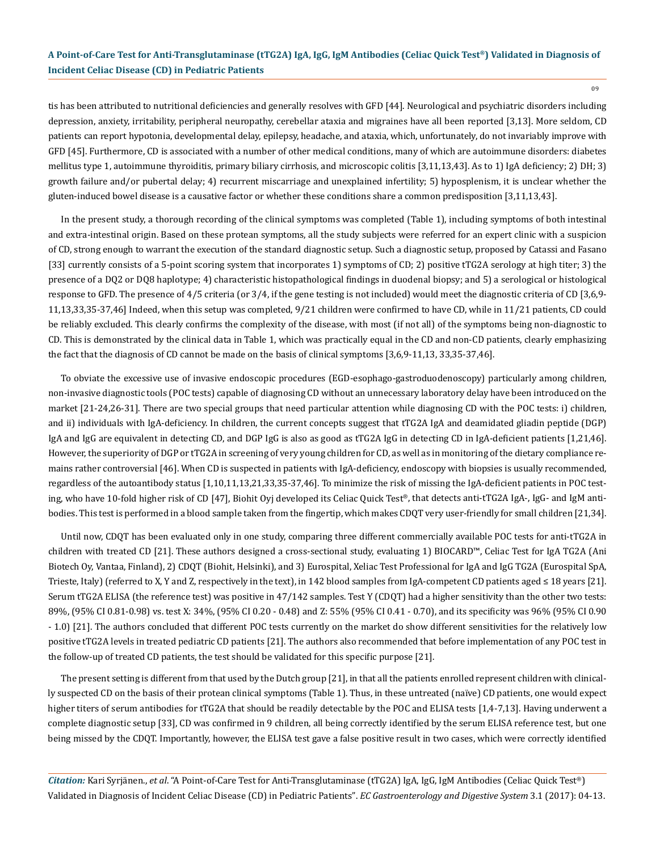09

tis has been attributed to nutritional deficiencies and generally resolves with GFD [44]. Neurological and psychiatric disorders including depression, anxiety, irritability, peripheral neuropathy, cerebellar ataxia and migraines have all been reported [3,13]. More seldom, CD patients can report hypotonia, developmental delay, epilepsy, headache, and ataxia, which, unfortunately, do not invariably improve with GFD [45]. Furthermore, CD is associated with a number of other medical conditions, many of which are autoimmune disorders: diabetes mellitus type 1, autoimmune thyroiditis, primary biliary cirrhosis, and microscopic colitis [3,11,13,43]. As to 1) IgA deficiency; 2) DH; 3) growth failure and/or pubertal delay; 4) recurrent miscarriage and unexplained infertility; 5) hyposplenism, it is unclear whether the gluten-induced bowel disease is a causative factor or whether these conditions share a common predisposition [3,11,13,43].

In the present study, a thorough recording of the clinical symptoms was completed (Table 1), including symptoms of both intestinal and extra-intestinal origin. Based on these protean symptoms, all the study subjects were referred for an expert clinic with a suspicion of CD, strong enough to warrant the execution of the standard diagnostic setup. Such a diagnostic setup, proposed by Catassi and Fasano [33] currently consists of a 5-point scoring system that incorporates 1) symptoms of CD; 2) positive tTG2A serology at high titer; 3) the presence of a DQ2 or DQ8 haplotype; 4) characteristic histopathological findings in duodenal biopsy; and 5) a serological or histological response to GFD. The presence of 4/5 criteria (or 3/4, if the gene testing is not included) would meet the diagnostic criteria of CD [3,6,9- 11,13,33,35-37,46] Indeed, when this setup was completed, 9/21 children were confirmed to have CD, while in 11/21 patients, CD could be reliably excluded. This clearly confirms the complexity of the disease, with most (if not all) of the symptoms being non-diagnostic to CD. This is demonstrated by the clinical data in Table 1, which was practically equal in the CD and non-CD patients, clearly emphasizing the fact that the diagnosis of CD cannot be made on the basis of clinical symptoms [3,6,9-11,13, 33,35-37,46].

To obviate the excessive use of invasive endoscopic procedures (EGD-esophago-gastroduodenoscopy) particularly among children, non-invasive diagnostic tools (POC tests) capable of diagnosing CD without an unnecessary laboratory delay have been introduced on the market [21-24,26-31]. There are two special groups that need particular attention while diagnosing CD with the POC tests: i) children, and ii) individuals with IgA-deficiency. In children, the current concepts suggest that tTG2A IgA and deamidated gliadin peptide (DGP) IgA and IgG are equivalent in detecting CD, and DGP IgG is also as good as tTG2A IgG in detecting CD in IgA-deficient patients [1,21,46]. However, the superiority of DGP or tTG2A in screening of very young children for CD, as well as in monitoring of the dietary compliance remains rather controversial [46]. When CD is suspected in patients with IgA-deficiency, endoscopy with biopsies is usually recommended, regardless of the autoantibody status [1,10,11,13,21,33,35-37,46]. To minimize the risk of missing the IgA-deficient patients in POC testing, who have 10-fold higher risk of CD [47], Biohit Oyj developed its Celiac Quick Test®, that detects anti-tTG2A IgA-, IgG- and IgM antibodies. This test is performed in a blood sample taken from the fingertip, which makes CDQT very user-friendly for small children [21,34].

Until now, CDQT has been evaluated only in one study, comparing three different commercially available POC tests for anti-tTG2A in children with treated CD [21]. These authors designed a cross-sectional study, evaluating 1) BIOCARD™, Celiac Test for IgA TG2A (Ani Biotech Oy, Vantaa, Finland), 2) CDQT (Biohit, Helsinki), and 3) Eurospital, Xeliac Test Professional for IgA and IgG TG2A (Eurospital SpA, Trieste, Italy) (referred to X, Y and Z, respectively in the text), in 142 blood samples from IgA-competent CD patients aged ≤ 18 years [21]. Serum tTG2A ELISA (the reference test) was positive in 47/142 samples. Test Y (CDQT) had a higher sensitivity than the other two tests: 89%, (95% CI 0.81-0.98) vs. test X: 34%, (95% CI 0.20 - 0.48) and Z: 55% (95% CI 0.41 - 0.70), and its specificity was 96% (95% CI 0.90 - 1.0) [21]. The authors concluded that different POC tests currently on the market do show different sensitivities for the relatively low positive tTG2A levels in treated pediatric CD patients [21]. The authors also recommended that before implementation of any POC test in the follow-up of treated CD patients, the test should be validated for this specific purpose [21].

The present setting is different from that used by the Dutch group [21], in that all the patients enrolled represent children with clinically suspected CD on the basis of their protean clinical symptoms (Table 1). Thus, in these untreated (naïve) CD patients, one would expect higher titers of serum antibodies for tTG2A that should be readily detectable by the POC and ELISA tests [1,4-7,13]. Having underwent a complete diagnostic setup [33], CD was confirmed in 9 children, all being correctly identified by the serum ELISA reference test, but one being missed by the CDQT. Importantly, however, the ELISA test gave a false positive result in two cases, which were correctly identified

*Citation:* Kari Syrjänen., *et al*. "A Point-of-Care Test for Anti-Transglutaminase (tTG2A) IgA, IgG, IgM Antibodies (Celiac Quick Test®) Validated in Diagnosis of Incident Celiac Disease (CD) in Pediatric Patients". *EC Gastroenterology and Digestive System* 3.1 (2017): 04-13.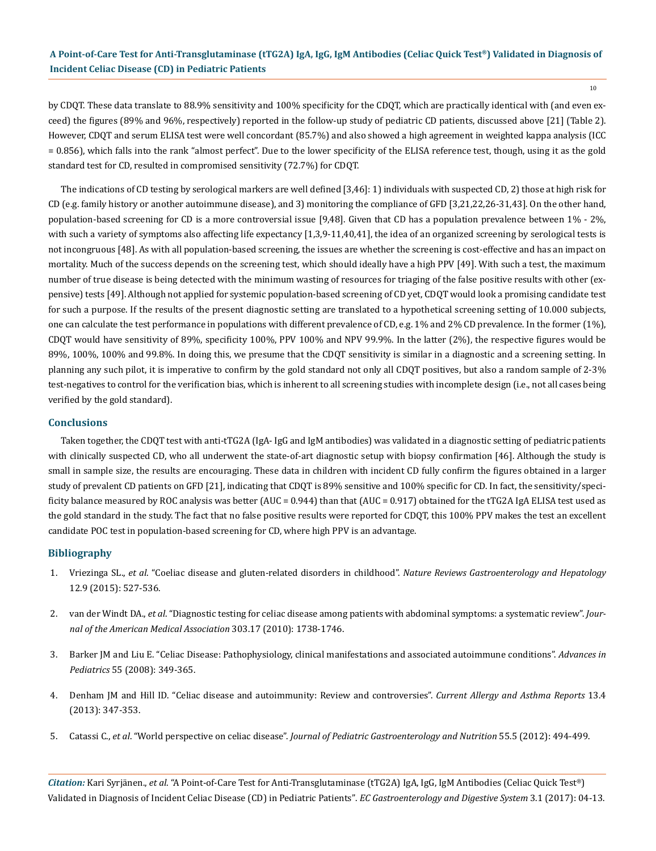by CDQT. These data translate to 88.9% sensitivity and 100% specificity for the CDQT, which are practically identical with (and even exceed) the figures (89% and 96%, respectively) reported in the follow-up study of pediatric CD patients, discussed above [21] (Table 2). However, CDQT and serum ELISA test were well concordant (85.7%) and also showed a high agreement in weighted kappa analysis (ICC = 0.856), which falls into the rank "almost perfect". Due to the lower specificity of the ELISA reference test, though, using it as the gold standard test for CD, resulted in compromised sensitivity (72.7%) for CDQT.

The indications of CD testing by serological markers are well defined [3,46]: 1) individuals with suspected CD, 2) those at high risk for CD (e.g. family history or another autoimmune disease), and 3) monitoring the compliance of GFD [3,21,22,26-31,43]. On the other hand, population-based screening for CD is a more controversial issue [9,48]. Given that CD has a population prevalence between 1% - 2%, with such a variety of symptoms also affecting life expectancy [1,3,9-11,40,41], the idea of an organized screening by serological tests is not incongruous [48]. As with all population-based screening, the issues are whether the screening is cost-effective and has an impact on mortality. Much of the success depends on the screening test, which should ideally have a high PPV [49]. With such a test, the maximum number of true disease is being detected with the minimum wasting of resources for triaging of the false positive results with other (expensive) tests [49]. Although not applied for systemic population-based screening of CD yet, CDQT would look a promising candidate test for such a purpose. If the results of the present diagnostic setting are translated to a hypothetical screening setting of 10.000 subjects, one can calculate the test performance in populations with different prevalence of CD, e.g. 1% and 2% CD prevalence. In the former (1%), CDQT would have sensitivity of 89%, specificity 100%, PPV 100% and NPV 99.9%. In the latter (2%), the respective figures would be 89%, 100%, 100% and 99.8%. In doing this, we presume that the CDQT sensitivity is similar in a diagnostic and a screening setting. In planning any such pilot, it is imperative to confirm by the gold standard not only all CDQT positives, but also a random sample of 2-3% test-negatives to control for the verification bias, which is inherent to all screening studies with incomplete design (i.e., not all cases being verified by the gold standard).

#### **Conclusions**

Taken together, the CDQT test with anti-tTG2A (IgA- IgG and IgM antibodies) was validated in a diagnostic setting of pediatric patients with clinically suspected CD, who all underwent the state-of-art diagnostic setup with biopsy confirmation [46]. Although the study is small in sample size, the results are encouraging. These data in children with incident CD fully confirm the figures obtained in a larger study of prevalent CD patients on GFD [21], indicating that CDQT is 89% sensitive and 100% specific for CD. In fact, the sensitivity/specificity balance measured by ROC analysis was better (AUC = 0.944) than that (AUC = 0.917) obtained for the tTG2A IgA ELISA test used as the gold standard in the study. The fact that no false positive results were reported for CDQT, this 100% PPV makes the test an excellent candidate POC test in population-based screening for CD, where high PPV is an advantage.

#### **Bibliography**

- 1. Vriezinga SL., *et al*[. "Coeliac disease and gluten-related disorders in childhood".](https://www.ncbi.nlm.nih.gov/pubmed/26100369) *Nature Reviews Gastroenterology and Hepatology* [12.9 \(2015\): 527-536.](https://www.ncbi.nlm.nih.gov/pubmed/26100369)
- 2. van der Windt DA., *et al*[. "Diagnostic testing for celiac disease among patients with abdominal symptoms: a systematic review".](https://www.ncbi.nlm.nih.gov/pubmed/20442390) *Jour[nal of the American Medical Association](https://www.ncbi.nlm.nih.gov/pubmed/20442390)* 303.17 (2010): 1738-1746.
- 3. [Barker JM and Liu E. "Celiac Disease: Pathophysiology, clinical manifestations and associated autoimmune conditions".](https://www.ncbi.nlm.nih.gov/pmc/articles/PMC2775561/) *Advances in Pediatrics* [55 \(2008\): 349-365.](https://www.ncbi.nlm.nih.gov/pmc/articles/PMC2775561/)
- 4. [Denham JM and Hill ID. "Celiac disease and autoimmunity: Review and controversies".](https://www.ncbi.nlm.nih.gov/pmc/articles/PMC3725235/) *Current Allergy and Asthma Reports* 13.4 [\(2013\): 347-353.](https://www.ncbi.nlm.nih.gov/pmc/articles/PMC3725235/)
- 5. Catassi C., *et al*. "World perspective on celiac disease". *[Journal of Pediatric Gastroenterology and Nutrition](https://www.ncbi.nlm.nih.gov/pubmed/22983371)* 55.5 (2012): 494-499.

*Citation:* Kari Syrjänen., *et al*. "A Point-of-Care Test for Anti-Transglutaminase (tTG2A) IgA, IgG, IgM Antibodies (Celiac Quick Test®) Validated in Diagnosis of Incident Celiac Disease (CD) in Pediatric Patients". *EC Gastroenterology and Digestive System* 3.1 (2017): 04-13.

 $10^{-1}$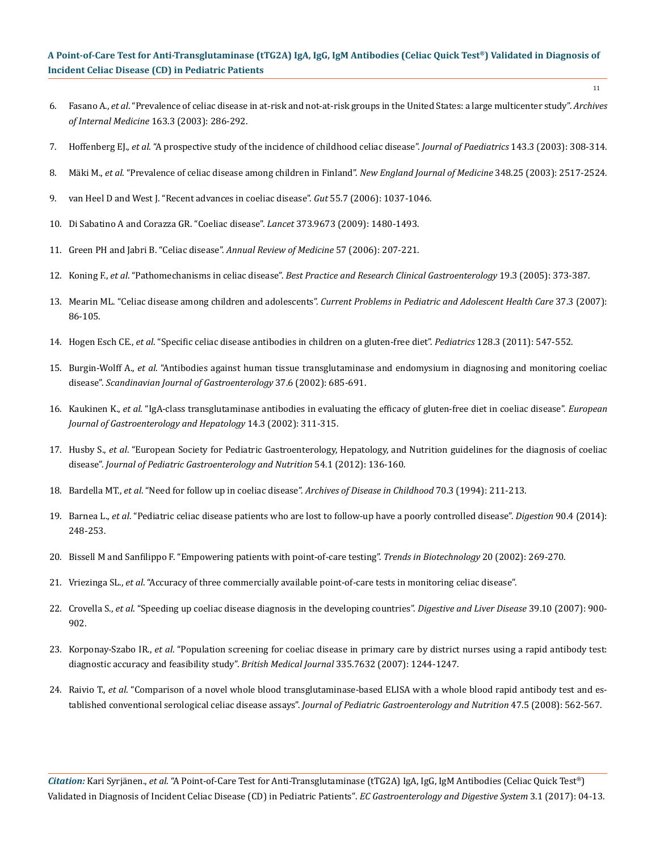11

- 6. Fasano A., *et al*[. "Prevalence of celiac disease in at-risk and not-at-risk groups in the United States: a large multicenter study".](https://www.ncbi.nlm.nih.gov/pubmed/12578508) *Archives [of Internal Medicine](https://www.ncbi.nlm.nih.gov/pubmed/12578508)* 163.3 (2003): 286-292.
- 7. Hoffenberg EJ., *et al*[. "A prospective study of the incidence of childhood celiac disease".](https://www.ncbi.nlm.nih.gov/pubmed/14517510) *Journal of Paediatrics* 143.3 (2003): 308-314.
- 8. Mäki M., *et al*[. "Prevalence of celiac disease among children in Finland".](https://www.ncbi.nlm.nih.gov/pubmed/12815137) *New England Journal of Medicine* 348.25 (2003): 2517-2524.
- 9. [van Heel D and West J. "Recent advances in coeliac disease".](https://www.ncbi.nlm.nih.gov/pmc/articles/PMC1856316/) *Gut* 55.7 (2006): 1037-1046.
- 10. [Di Sabatino A and Corazza GR. "Coeliac disease".](https://www.ncbi.nlm.nih.gov/pubmed/19394538) *Lancet* 373.9673 (2009): 1480-1493.
- 11. [Green PH and Jabri B. "Celiac disease".](https://www.ncbi.nlm.nih.gov/pubmed/16409146) *Annual Review of Medicine* 57 (2006): 207-221.
- 12. Koning F., *et al*. "Pathomechanisms in celiac disease". *[Best Practice and Research Clinical Gastroenterology](https://www.ncbi.nlm.nih.gov/pubmed/15925843)* 19.3 (2005): 373-387.
- 13. Mearin ML. "Celiac disease among children and adolescents". *[Current Problems in Pediatric and Adolescent Health Care](https://www.lumc.nl/sub/1905/att/90327035356185.pdf)* 37.3 (2007): [86-105.](https://www.lumc.nl/sub/1905/att/90327035356185.pdf)
- 14. Hogen Esch CE., *et al*[. "Specific celiac disease antibodies in children on a gluten-free diet".](https://www.ncbi.nlm.nih.gov/pubmed/21859913) *Pediatrics* 128.3 (2011): 547-552.
- 15. Burgin-Wolff A., *et al*[. "Antibodies against human tissue transglutaminase and endomysium in diagnosing and monitoring coeliac](https://www.ncbi.nlm.nih.gov/pubmed/12126247)  disease". *[Scandinavian Journal of Gastroenterology](https://www.ncbi.nlm.nih.gov/pubmed/12126247)* 37.6 (2002): 685-691.
- 16. Kaukinen K., *et al*[. "IgA-class transglutaminase antibodies in evaluating the efficacy of gluten-free diet in coeliac disease".](https://www.ncbi.nlm.nih.gov/pubmed/11953698) *European [Journal of Gastroenterology and Hepatology](https://www.ncbi.nlm.nih.gov/pubmed/11953698)* 14.3 (2002): 311-315.
- 17. Husby S., *et al*[. "European Society for Pediatric Gastroenterology, Hepatology, and Nutrition guidelines for the diagnosis of coeliac](https://www.ncbi.nlm.nih.gov/pubmed/22197856)  disease". *[Journal of Pediatric Gastroenterology and Nutrition](https://www.ncbi.nlm.nih.gov/pubmed/22197856)* 54.1 (2012): 136-160.
- 18. Bardella MT., *et al*[. "Need for follow up in coeliac disease".](https://www.ncbi.nlm.nih.gov/pubmed/8135565) *Archives of Disease in Childhood* 70.3 (1994): 211-213.
- 19. Barnea L., *et al*[. "Pediatric celiac disease patients who are lost to follow-up have a poorly controlled disease".](https://www.ncbi.nlm.nih.gov/pubmed/25531121) *Digestion* 90.4 (2014): [248-253.](https://www.ncbi.nlm.nih.gov/pubmed/25531121)
- 20. [Bissell M and Sanfilippo F. "Empowering patients with point-of-care testing".](http://www.sciencedirect.com/science/article/pii/S0167779902019613) *Trends in Biotechnology* 20 (2002): 269-270.
- 21. Vriezinga SL., *et al*. "Accuracy of three commercially available point-of-care tests in monitoring celiac disease".
- 22. Crovella S., *et al*[. "Speeding up coeliac disease diagnosis in the developing countries".](https://www.ncbi.nlm.nih.gov/pubmed/17706474) *Digestive and Liver Disease* 39.10 (2007): 900- [902.](https://www.ncbi.nlm.nih.gov/pubmed/17706474)
- 23. Korponay-Szabo IR., *et al*[. "Population screening for coeliac disease in primary care by district nurses using a rapid antibody test:](https://www.ncbi.nlm.nih.gov/pubmed/18063612)  [diagnostic accuracy and feasibility study".](https://www.ncbi.nlm.nih.gov/pubmed/18063612) *British Medical Journal* 335.7632 (2007): 1244-1247.
- 24. Raivio T., *et al*[. "Comparison of a novel whole blood transglutaminase-based ELISA with a whole blood rapid antibody test and es](https://www.ncbi.nlm.nih.gov/pubmed/18979578)tablished conventional serological celiac disease assays". *[Journal of Pediatric Gastroenterology and Nutrition](https://www.ncbi.nlm.nih.gov/pubmed/18979578)* 47.5 (2008): 562-567.

*Citation:* Kari Syrjänen., *et al*. "A Point-of-Care Test for Anti-Transglutaminase (tTG2A) IgA, IgG, IgM Antibodies (Celiac Quick Test®) Validated in Diagnosis of Incident Celiac Disease (CD) in Pediatric Patients". *EC Gastroenterology and Digestive System* 3.1 (2017): 04-13.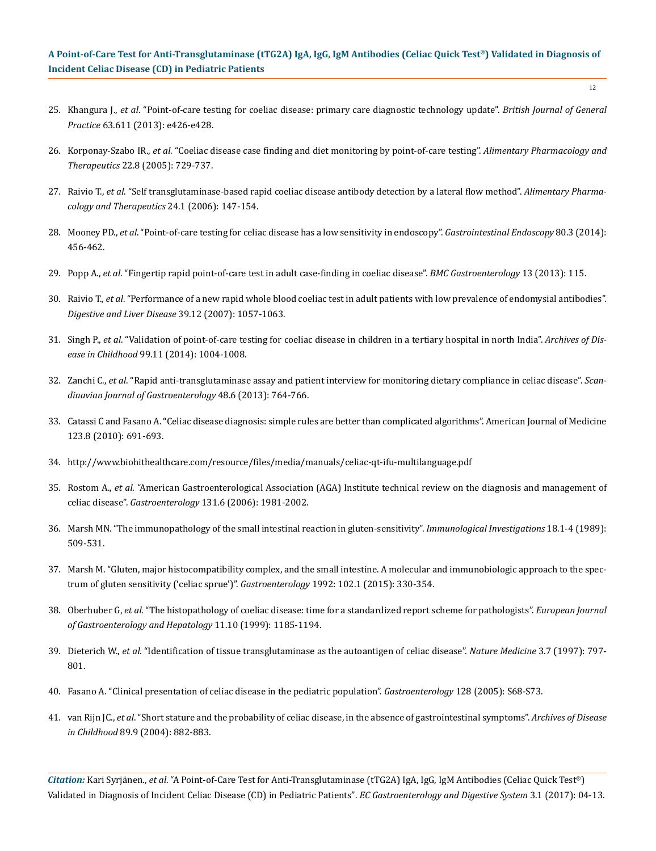- 25. Khangura J., *et al*[. "Point-of-care testing for coeliac disease: primary care diagnostic technology update".](https://www.ncbi.nlm.nih.gov/pmc/articles/PMC3662461/) *British Journal of General Practice* [63.611 \(2013\): e426-e428.](https://www.ncbi.nlm.nih.gov/pmc/articles/PMC3662461/)
- 26. Korponay-Szabo IR., *et al*[. "Coeliac disease case finding and diet monitoring by point-of-care testing".](https://www.ncbi.nlm.nih.gov/pubmed/16197494) *Alimentary Pharmacology and Therapeutics* [22.8 \(2005\): 729-737.](https://www.ncbi.nlm.nih.gov/pubmed/16197494)
- 27. Raivio T., *et al*[. "Self transglutaminase-based rapid coeliac disease antibody detection by a lateral flow method".](https://www.ncbi.nlm.nih.gov/pubmed/16803613) *Alimentary Pharma[cology and Therapeutics](https://www.ncbi.nlm.nih.gov/pubmed/16803613)* 24.1 (2006): 147-154.
- 28. Mooney PD., *et al*[. "Point-of-care testing for celiac disease has a low sensitivity in endoscopy".](https://www.ncbi.nlm.nih.gov/pubmed/24685008) *Gastrointestinal Endoscopy* 80.3 (2014): [456-462.](https://www.ncbi.nlm.nih.gov/pubmed/24685008)
- 29. Popp A., *et al*[. "Fingertip rapid point-of-care test in adult case-finding in coeliac disease".](https://www.ncbi.nlm.nih.gov/pubmed/23849178) *BMC Gastroenterology* 13 (2013): 115.
- 30. Raivio T., *et al*[. "Performance of a new rapid whole blood coeliac test in adult patients with low prevalence of endomysial antibodies".](https://www.ncbi.nlm.nih.gov/pubmed/17983878) *[Digestive and Liver Disease](https://www.ncbi.nlm.nih.gov/pubmed/17983878)* 39.12 (2007): 1057-1063.
- 31. Singh P., *et al*[. "Validation of point-of-care testing for coeliac disease in children in a tertiary hospital in north India".](https://www.ncbi.nlm.nih.gov/pubmed/24942708) *Archives of Disease in Childhood* [99.11 \(2014\): 1004-1008.](https://www.ncbi.nlm.nih.gov/pubmed/24942708)
- 32. Zanchi C., *et al*[. "Rapid anti-transglutaminase assay and patient interview for monitoring dietary compliance in celiac disease".](https://www.ncbi.nlm.nih.gov/pubmed/23556514) *Scan[dinavian Journal of Gastroenterology](https://www.ncbi.nlm.nih.gov/pubmed/23556514)* 48.6 (2013): 764-766.
- 33. [Catassi C and Fasano A. "Celiac disease diagnosis: simple rules are better than complicated algorithms". American Journal of Medicine](https://www.ncbi.nlm.nih.gov/pubmed/20670718) [123.8 \(2010\): 691-693.](https://www.ncbi.nlm.nih.gov/pubmed/20670718)
- 34. <http://www.biohithealthcare.com/resource/files/media/manuals/celiac-qt-ifu-multilanguage.pdf>
- 35. Rostom A., *et al*[. "American Gastroenterological Association \(AGA\) Institute technical review on the diagnosis and management of](https://www.ncbi.nlm.nih.gov/pubmed/17087937) celiac disease". *Gastroenterology* [131.6 \(2006\): 1981-2002.](https://www.ncbi.nlm.nih.gov/pubmed/17087937)
- 36. [Marsh MN. "The immunopathology of the small intestinal reaction in gluten-sensitivity".](https://www.ncbi.nlm.nih.gov/pubmed/2786501) *Immunological Investigations* 18.1-4 (1989): [509-531.](https://www.ncbi.nlm.nih.gov/pubmed/2786501)
- 37. [Marsh M. "Gluten, major histocompatibility complex, and the small intestine. A molecular and immunobiologic approach to the spec](https://www.ncbi.nlm.nih.gov/pubmed/1727768)[trum of gluten sensitivity \('celiac sprue'\)".](https://www.ncbi.nlm.nih.gov/pubmed/1727768) *Gastroenterology* 1992: 102.1 (2015): 330-354.
- 38. Oberhuber G, *et al*[. "The histopathology of coeliac disease: time for a standardized report scheme for pathologists".](https://www.ncbi.nlm.nih.gov/pubmed/10524652) *European Journal [of Gastroenterology and Hepatology](https://www.ncbi.nlm.nih.gov/pubmed/10524652)* 11.10 (1999): 1185-1194.
- 39. Dieterich W., *et al*[. "Identification of tissue transglutaminase as the autoantigen of celiac disease".](https://www.ncbi.nlm.nih.gov/pubmed/9212111) *Nature Medicine* 3.7 (1997): 797- [801.](https://www.ncbi.nlm.nih.gov/pubmed/9212111)
- 40. [Fasano A. "Clinical presentation of celiac disease in the pediatric population".](https://www.ncbi.nlm.nih.gov/pubmed/15825129) *Gastroenterology* 128 (2005): S68-S73.
- 41. van Rijn JC., *et al*[. "Short stature and the probability of celiac disease, in the absence of gastrointestinal symptoms".](https://www.ncbi.nlm.nih.gov/pubmed/15321874) *Archives of Disease [in Childhood](https://www.ncbi.nlm.nih.gov/pubmed/15321874)* 89.9 (2004): 882-883.

*Citation:* Kari Syrjänen., *et al*. "A Point-of-Care Test for Anti-Transglutaminase (tTG2A) IgA, IgG, IgM Antibodies (Celiac Quick Test®) Validated in Diagnosis of Incident Celiac Disease (CD) in Pediatric Patients". *EC Gastroenterology and Digestive System* 3.1 (2017): 04-13.